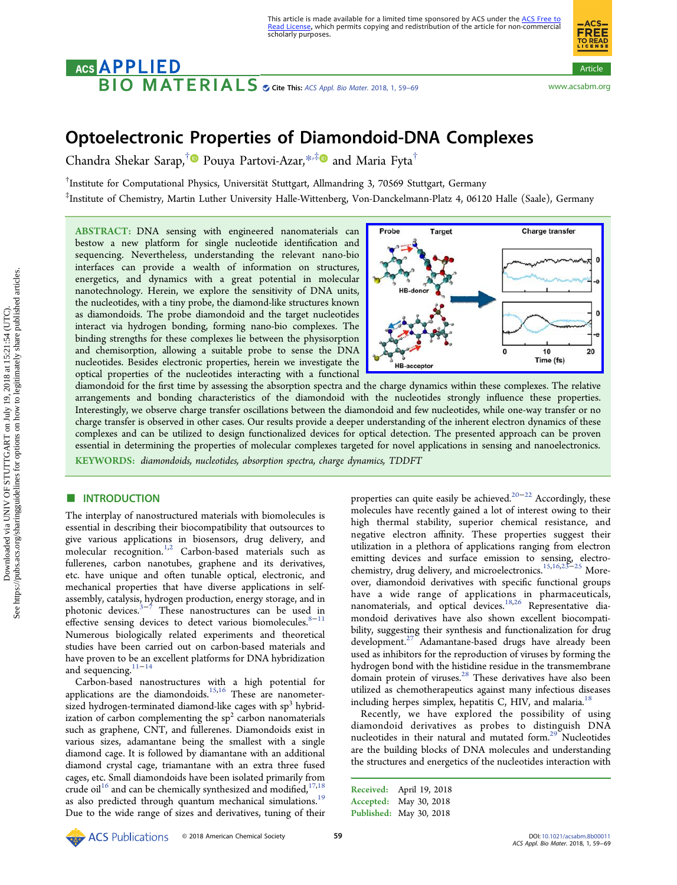# ACS APPLIED Cite This: [ACS Appl. Bio Mater.](http://pubs.acs.org/action/showCitFormats?doi=10.1021/acsabm.8b00011) 2018, 1, 59–69 <www.acsabm.org>



Article

Article

**ACS FREE** 

## Optoelectronic Properties of Diamondoid-DNA Complexes

Chandra Shekar Sarap,<sup>†</sup> Pouya Partovi-Azar,<sup>[\\*](#page-8-0),[‡](#page-8-0)</sup> and Maria Fyta<sup>†</sup>

 $^\dagger$ Institute for Computational Physics, Universität Stuttgart, Allmandring 3, 70569 Stuttgart, Germany

‡ Institute of Chemistry, Martin Luther University Halle-Wittenberg, Von-Danckelmann-Platz 4, 06120 Halle (Saale), Germany

ABSTRACT: DNA sensing with engineered nanomaterials can bestow a new platform for single nucleotide identification and sequencing. Nevertheless, understanding the relevant nano-bio interfaces can provide a wealth of information on structures, energetics, and dynamics with a great potential in molecular nanotechnology. Herein, we explore the sensitivity of DNA units, the nucleotides, with a tiny probe, the diamond-like structures known as diamondoids. The probe diamondoid and the target nucleotides interact via hydrogen bonding, forming nano-bio complexes. The binding strengths for these complexes lie between the physisorption and chemisorption, allowing a suitable probe to sense the DNA nucleotides. Besides electronic properties, herein we investigate the optical properties of the nucleotides interacting with a functional



diamondoid for the first time by assessing the absorption spectra and the charge dynamics within these complexes. The relative arrangements and bonding characteristics of the diamondoid with the nucleotides strongly influence these properties. Interestingly, we observe charge transfer oscillations between the diamondoid and few nucleotides, while one-way transfer or no charge transfer is observed in other cases. Our results provide a deeper understanding of the inherent electron dynamics of these complexes and can be utilized to design functionalized devices for optical detection. The presented approach can be proven essential in determining the properties of molecular complexes targeted for novel applications in sensing and nanoelectronics. KEYWORDS: diamondoids, nucleotides, absorption spectra, charge dynamics, TDDFT

## **ENTRODUCTION**

The interplay of nanostructured materials with biomolecules is essential in describing their biocompatibility that outsources to give various applications in biosensors, drug delivery, and molecular recognition.[1,2](#page-9-0) Carbon-based materials such as fullerenes, carbon nanotubes, graphene and its derivatives, etc. have unique and often tunable optical, electronic, and mechanical properties that have diverse applications in selfassembly, catalysis, hydrogen production, energy storage, and in photonic devices. $3-\frac{3}{7}$  $3-\frac{3}{7}$  $3-\frac{3}{7}$  $3-\frac{3}{7}$  These nanostructures can be used in effective sensing devices to detect various biomolecules. $8-11$  $8-11$  $8-11$ Numerous biologically related experiments and theoretical studies have been carried out on carbon-based materials and have proven to be an excellent platforms for DNA hybridization and sequencing.<sup>[11](#page-9-0)−[14](#page-9-0)</sup>

Carbon-based nanostructures with a high potential for applications are the diamondoids.<sup>[15](#page-9-0),[16](#page-9-0)</sup> These are nanometersized hydrogen-terminated diamond-like cages with  $sp<sup>3</sup>$  hybridization of carbon complementing the  $sp<sup>2</sup>$  carbon nanomaterials such as graphene, CNT, and fullerenes. Diamondoids exist in various sizes, adamantane being the smallest with a single diamond cage. It is followed by diamantane with an additional diamond crystal cage, triamantane with an extra three fused cages, etc. Small diamondoids have been isolated primarily from crude oil<sup>16</sup> and can be chemically synthesized and modified,<sup>[17,18](#page-9-0)</sup> as also predicted through quantum mechanical simulations.<sup>[19](#page-9-0)</sup> Due to the wide range of sizes and derivatives, tuning of their properties can quite easily be achieved.<sup>[20](#page-9-0)−[22](#page-9-0)</sup> Accordingly, these molecules have recently gained a lot of interest owing to their high thermal stability, superior chemical resistance, and negative electron affinity. These properties suggest their utilization in a plethora of applications ranging from electron emitting devices and surface emission to sensing, electro-chemistry, drug delivery, and microelectronics.<sup>[15,16](#page-9-0),[23](#page-9-0)–[25](#page-9-0)</sup> Moreover, diamondoid derivatives with specific functional groups have a wide range of applications in pharmaceuticals, nanomaterials, and optical devices.<sup>[18,26](#page-9-0)</sup> Representative diamondoid derivatives have also shown excellent biocompatibility, suggesting their synthesis and functionalization for drug development.<sup>[27](#page-9-0)</sup> Adamantane-based drugs have already been used as inhibitors for the reproduction of viruses by forming the hydrogen bond with the histidine residue in the transmembrane domain protein of viruses.<sup>[28](#page-9-0)</sup> These derivatives have also been utilized as chemotherapeutics against many infectious diseases including herpes simplex, hepatitis C, HIV, and malaria.<sup>[18](#page-9-0)</sup>

Recently, we have explored the possibility of using diamondoid derivatives as probes to distinguish DNA nucleotides in their natural and mutated form.<sup>[29](#page-9-0)</sup> Nucleotides are the building blocks of DNA molecules and understanding the structures and energetics of the nucleotides interaction with

Received: April 19, 2018 Accepted: May 30, 2018 Published: May 30, 2018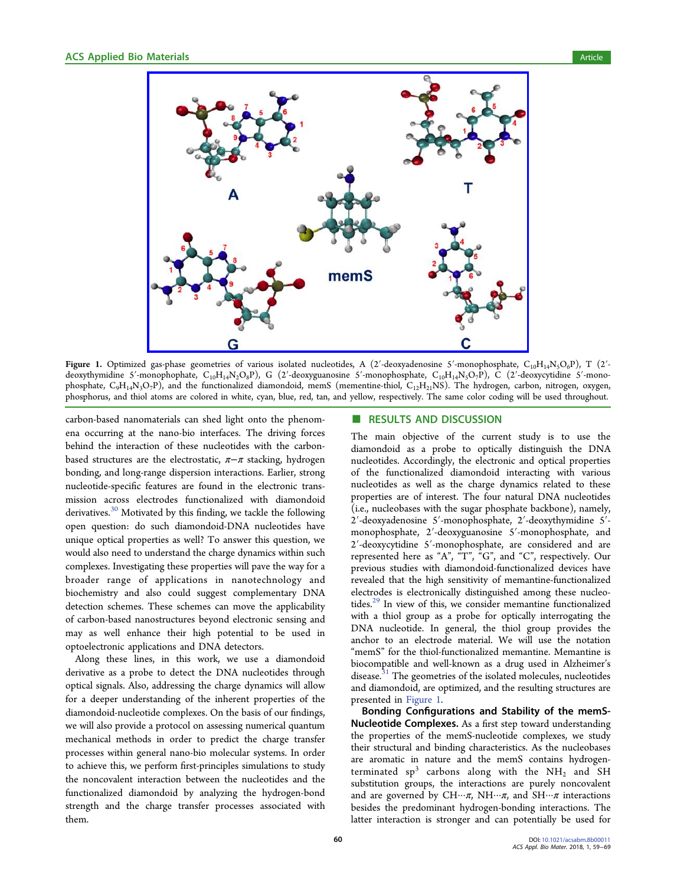<span id="page-1-0"></span>

Figure 1. Optimized gas-phase geometries of various isolated nucleotides, A (2'-deoxyadenosine 5'-monophosphate, C<sub>10</sub>H<sub>14</sub>N<sub>5</sub>O<sub>6</sub>P), T (2'deoxythymidine 5'-monophophate,  $C_{10}H_{14}N_2O_8P$ ), G (2'-deoxyguanosine 5'-monophosphate,  $C_{10}H_{14}N_5O_7P$ ), C (2'-deoxycytidine 5'-monophosphate,  $C_9H_{14}N_3O_7P$ ), and the functionalized diamondoid, memS (mementine-thiol,  $C_{12}H_{21}NS$ ). The hydrogen, carbon, nitrogen, oxygen, phosphorus, and thiol atoms are colored in white, cyan, blue, red, tan, and yellow, respectively. The same color coding will be used throughout.

carbon-based nanomaterials can shed light onto the phenomena occurring at the nano-bio interfaces. The driving forces behind the interaction of these nucleotides with the carbonbased structures are the electrostatic,  $\pi-\pi$  stacking, hydrogen bonding, and long-range dispersion interactions. Earlier, strong nucleotide-specific features are found in the electronic transmission across electrodes functionalized with diamondoid derivatives.<sup>[30](#page-9-0)</sup> Motivated by this finding, we tackle the following open question: do such diamondoid-DNA nucleotides have unique optical properties as well? To answer this question, we would also need to understand the charge dynamics within such complexes. Investigating these properties will pave the way for a broader range of applications in nanotechnology and biochemistry and also could suggest complementary DNA detection schemes. These schemes can move the applicability of carbon-based nanostructures beyond electronic sensing and may as well enhance their high potential to be used in optoelectronic applications and DNA detectors.

Along these lines, in this work, we use a diamondoid derivative as a probe to detect the DNA nucleotides through optical signals. Also, addressing the charge dynamics will allow for a deeper understanding of the inherent properties of the diamondoid-nucleotide complexes. On the basis of our findings, we will also provide a protocol on assessing numerical quantum mechanical methods in order to predict the charge transfer processes within general nano-bio molecular systems. In order to achieve this, we perform first-principles simulations to study the noncovalent interaction between the nucleotides and the functionalized diamondoid by analyzing the hydrogen-bond strength and the charge transfer processes associated with them.

#### ■ RESULTS AND DISCUSSION

The main objective of the current study is to use the diamondoid as a probe to optically distinguish the DNA nucleotides. Accordingly, the electronic and optical properties of the functionalized diamondoid interacting with various nucleotides as well as the charge dynamics related to these properties are of interest. The four natural DNA nucleotides (i.e., nucleobases with the sugar phosphate backbone), namely, 2′-deoxyadenosine 5′-monophosphate, 2′-deoxythymidine 5′ monophosphate, 2′-deoxyguanosine 5′-monophosphate, and 2′-deoxycytidine 5′-monophosphate, are considered and are represented here as "A", "T", "G", and "C", respectively. Our previous studies with diamondoid-functionalized devices have revealed that the high sensitivity of memantine-functionalized electrodes is electronically distinguished among these nucleo-tides.<sup>[29](#page-9-0)</sup> In view of this, we consider memantine functionalized with a thiol group as a probe for optically interrogating the DNA nucleotide. In general, the thiol group provides the anchor to an electrode material. We will use the notation "memS" for the thiol-functionalized memantine. Memantine is biocompatible and well-known as a drug used in Alzheimer's disease.<sup>[31](#page-9-0)</sup> The geometries of the isolated molecules, nucleotides and diamondoid, are optimized, and the resulting structures are presented in Figure 1.

Bonding Configurations and Stability of the memS-Nucleotide Complexes. As a first step toward understanding the properties of the memS-nucleotide complexes, we study their structural and binding characteristics. As the nucleobases are aromatic in nature and the memS contains hydrogenterminated  $sp^3$  carbons along with the NH<sub>2</sub> and SH substitution groups, the interactions are purely noncovalent and are governed by  $CH\cdots \pi$ ,  $NH\cdots \pi$ , and  $SH\cdots \pi$  interactions besides the predominant hydrogen-bonding interactions. The latter interaction is stronger and can potentially be used for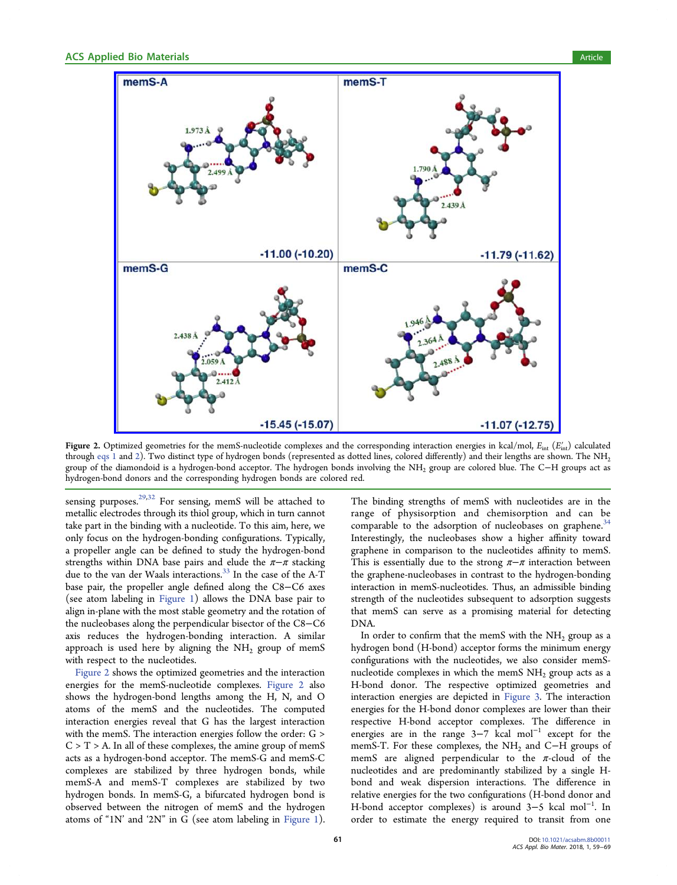<span id="page-2-0"></span>

Figure 2. Optimized geometries for the memS-nucleotide complexes and the corresponding interaction energies in kcal/mol,  $E_{int}$  ( $E'_{int}$ ) calculated through [eqs 1](#page-8-0) and [2](#page-8-0)). Two distinct type of hydrogen bonds (represented as dotted lines, colored differently) and their lengths are shown. The NH<sub>2</sub> group of the diamondoid is a hydrogen-bond acceptor. The hydrogen bonds involving the NH<sub>2</sub> group are colored blue. The C−H groups act as hydrogen-bond donors and the corresponding hydrogen bonds are colored red.

sensing purposes.<sup>[29,32](#page-9-0)</sup> For sensing, memS will be attached to metallic electrodes through its thiol group, which in turn cannot take part in the binding with a nucleotide. To this aim, here, we only focus on the hydrogen-bonding configurations. Typically, a propeller angle can be defined to study the hydrogen-bond strengths within DNA base pairs and elude the  $\pi-\pi$  stacking due to the van der Waals interactions.<sup>[33](#page-10-0)</sup> In the case of the A-T base pair, the propeller angle defined along the C8−C6 axes (see atom labeling in [Figure 1\)](#page-1-0) allows the DNA base pair to align in-plane with the most stable geometry and the rotation of the nucleobases along the perpendicular bisector of the C8−C6 axis reduces the hydrogen-bonding interaction. A similar approach is used here by aligning the  $NH<sub>2</sub>$  group of memS with respect to the nucleotides.

Figure 2 shows the optimized geometries and the interaction energies for the memS-nucleotide complexes. Figure 2 also shows the hydrogen-bond lengths among the H, N, and O atoms of the memS and the nucleotides. The computed interaction energies reveal that G has the largest interaction with the memS. The interaction energies follow the order: G >  $C > T > A$ . In all of these complexes, the amine group of memS acts as a hydrogen-bond acceptor. The memS-G and memS-C complexes are stabilized by three hydrogen bonds, while memS-A and memS-T complexes are stabilized by two hydrogen bonds. In memS-G, a bifurcated hydrogen bond is observed between the nitrogen of memS and the hydrogen atoms of "1N' and '2N" in G (see atom labeling in [Figure 1\)](#page-1-0).

The binding strengths of memS with nucleotides are in the range of physisorption and chemisorption and can be comparable to the adsorption of nucleobases on graphene.<sup>[34](#page-10-0)</sup> Interestingly, the nucleobases show a higher affinity toward graphene in comparison to the nucleotides affinity to memS. This is essentially due to the strong  $\pi-\pi$  interaction between the graphene-nucleobases in contrast to the hydrogen-bonding interaction in memS-nucleotides. Thus, an admissible binding strength of the nucleotides subsequent to adsorption suggests that memS can serve as a promising material for detecting DNA.

In order to confirm that the memS with the  $NH<sub>2</sub>$  group as a hydrogen bond (H-bond) acceptor forms the minimum energy configurations with the nucleotides, we also consider memSnucleotide complexes in which the memS  $NH<sub>2</sub>$  group acts as a H-bond donor. The respective optimized geometries and interaction energies are depicted in [Figure 3.](#page-3-0) The interaction energies for the H-bond donor complexes are lower than their respective H-bond acceptor complexes. The difference in energies are in the range  $3-7$  kcal mol<sup>-1</sup> except for the memS-T. For these complexes, the NH<sub>2</sub> and C−H groups of memS are aligned perpendicular to the  $\pi$ -cloud of the nucleotides and are predominantly stabilized by a single Hbond and weak dispersion interactions. The difference in relative energies for the two configurations (H-bond donor and H-bond acceptor complexes) is around 3−5 kcal mol<sup>−</sup><sup>1</sup> . In order to estimate the energy required to transit from one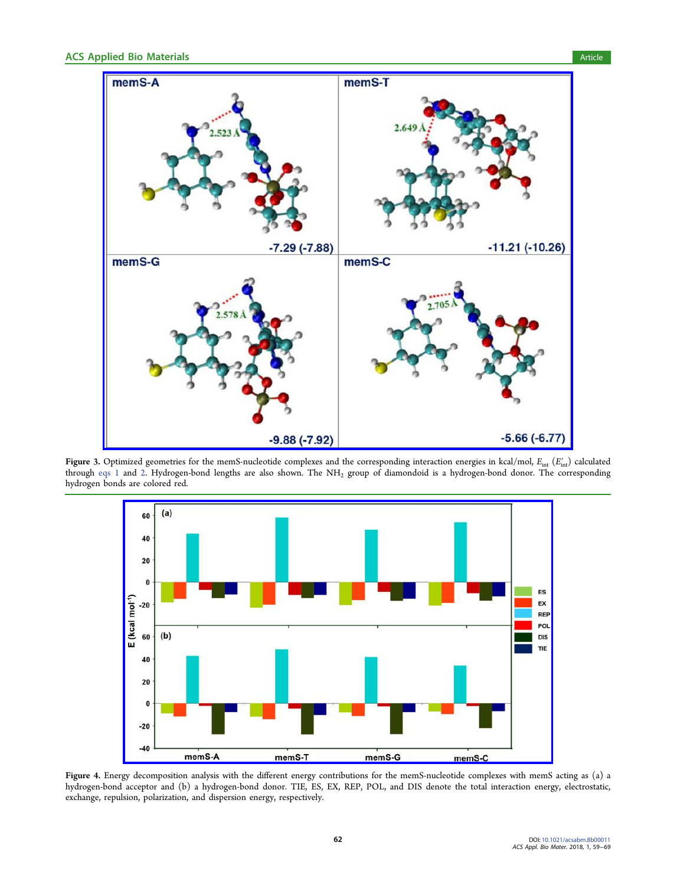<span id="page-3-0"></span>

Figure 3. Optimized geometries for the memS-nucleotide complexes and the corresponding interaction energies in kcal/mol,  $E_{\text{int}}(E_{\text{int}}')$  calculated through [eqs 1](#page-8-0) and [2](#page-8-0). Hydrogen-bond lengths are also shown. The NH<sub>2</sub> group of diamondoid is a hydrogen-bond donor. The corresponding hydrogen bonds are colored red.



Figure 4. Energy decomposition analysis with the different energy contributions for the memS-nucleotide complexes with memS acting as (a) a hydrogen-bond acceptor and (b) a hydrogen-bond donor. TIE, ES, EX, REP, POL, and DIS denote the total interaction energy, electrostatic, exchange, repulsion, polarization, and dispersion energy, respectively.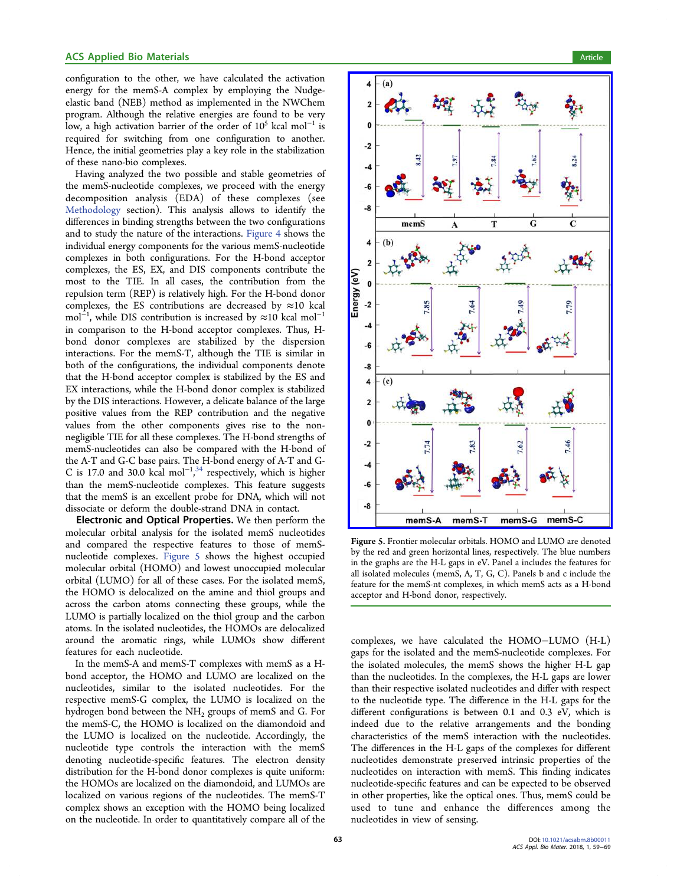#### <span id="page-4-0"></span>ACS Applied Bio Materials **Article** Article **Article** Article **Article** Article **Article**

configuration to the other, we have calculated the activation energy for the memS-A complex by employing the Nudgeelastic band (NEB) method as implemented in the NWChem program. Although the relative energies are found to be very low, a high activation barrier of the order of  $10^5$  kcal mol<sup>-1</sup> is required for switching from one configuration to another. Hence, the initial geometries play a key role in the stabilization of these nano-bio complexes.

Having analyzed the two possible and stable geometries of the memS-nucleotide complexes, we proceed with the energy decomposition analysis (EDA) of these complexes (see [Methodology](#page-8-0) section). This analysis allows to identify the differences in binding strengths between the two configurations and to study the nature of the interactions. [Figure 4](#page-3-0) shows the individual energy components for the various memS-nucleotide complexes in both configurations. For the H-bond acceptor complexes, the ES, EX, and DIS components contribute the most to the TIE. In all cases, the contribution from the repulsion term (REP) is relatively high. For the H-bond donor complexes, the ES contributions are decreased by  $\approx$ 10 kcal mol<sup>−1</sup>, while DIS contribution is increased by ≈10 kcal mol<sup>−1</sup> in comparison to the H-bond acceptor complexes. Thus, Hbond donor complexes are stabilized by the dispersion interactions. For the memS-T, although the TIE is similar in both of the configurations, the individual components denote that the H-bond acceptor complex is stabilized by the ES and EX interactions, while the H-bond donor complex is stabilized by the DIS interactions. However, a delicate balance of the large positive values from the REP contribution and the negative values from the other components gives rise to the nonnegligible TIE for all these complexes. The H-bond strengths of memS-nucleotides can also be compared with the H-bond of the A-T and G-C base pairs. The H-bond energy of A-T and G-C is 17.0 and 30.0 kcal mol<sup>-1,[34](#page-10-0)</sup> respectively, which is higher , than the memS-nucleotide complexes. This feature suggests that the memS is an excellent probe for DNA, which will not dissociate or deform the double-strand DNA in contact.

Electronic and Optical Properties. We then perform the molecular orbital analysis for the isolated memS nucleotides and compared the respective features to those of memSnucleotide complexes. Figure 5 shows the highest occupied molecular orbital (HOMO) and lowest unoccupied molecular orbital (LUMO) for all of these cases. For the isolated memS, the HOMO is delocalized on the amine and thiol groups and across the carbon atoms connecting these groups, while the LUMO is partially localized on the thiol group and the carbon atoms. In the isolated nucleotides, the HOMOs are delocalized around the aromatic rings, while LUMOs show different features for each nucleotide.

In the memS-A and memS-T complexes with memS as a Hbond acceptor, the HOMO and LUMO are localized on the nucleotides, similar to the isolated nucleotides. For the respective memS-G complex, the LUMO is localized on the hydrogen bond between the  $NH<sub>2</sub>$  groups of memS and G. For the memS-C, the HOMO is localized on the diamondoid and the LUMO is localized on the nucleotide. Accordingly, the nucleotide type controls the interaction with the memS denoting nucleotide-specific features. The electron density distribution for the H-bond donor complexes is quite uniform: the HOMOs are localized on the diamondoid, and LUMOs are localized on various regions of the nucleotides. The memS-T complex shows an exception with the HOMO being localized on the nucleotide. In order to quantitatively compare all of the



Figure 5. Frontier molecular orbitals. HOMO and LUMO are denoted by the red and green horizontal lines, respectively. The blue numbers in the graphs are the H-L gaps in eV. Panel a includes the features for all isolated molecules (memS, A, T, G, C). Panels b and c include the feature for the memS-nt complexes, in which memS acts as a H-bond acceptor and H-bond donor, respectively.

complexes, we have calculated the HOMO−LUMO (H-L) gaps for the isolated and the memS-nucleotide complexes. For the isolated molecules, the memS shows the higher H-L gap than the nucleotides. In the complexes, the H-L gaps are lower than their respective isolated nucleotides and differ with respect to the nucleotide type. The difference in the H-L gaps for the different configurations is between 0.1 and 0.3 eV, which is indeed due to the relative arrangements and the bonding characteristics of the memS interaction with the nucleotides. The differences in the H-L gaps of the complexes for different nucleotides demonstrate preserved intrinsic properties of the nucleotides on interaction with memS. This finding indicates nucleotide-specific features and can be expected to be observed in other properties, like the optical ones. Thus, memS could be used to tune and enhance the differences among the nucleotides in view of sensing.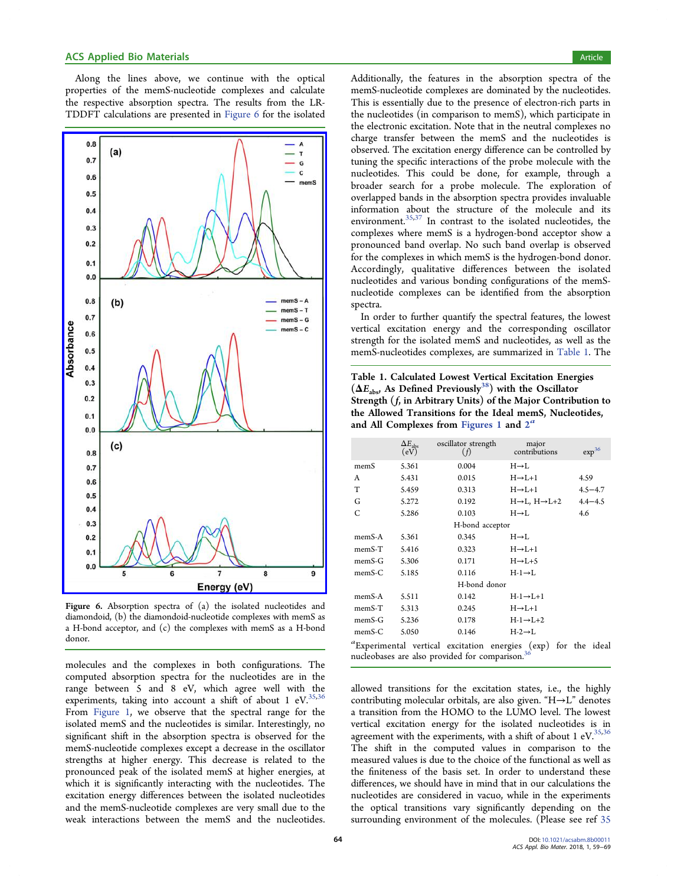Along the lines above, we continue with the optical properties of the memS-nucleotide complexes and calculate the respective absorption spectra. The results from the LR-TDDFT calculations are presented in Figure 6 for the isolated



Figure 6. Absorption spectra of (a) the isolated nucleotides and diamondoid, (b) the diamondoid-nucleotide complexes with memS as a H-bond acceptor, and (c) the complexes with memS as a H-bond donor.

molecules and the complexes in both configurations. The computed absorption spectra for the nucleotides are in the range between 5 and 8 eV, which agree well with the experiments, taking into account a shift of about 1 eV.  $35,36$ From [Figure 1](#page-1-0), we observe that the spectral range for the isolated memS and the nucleotides is similar. Interestingly, no significant shift in the absorption spectra is observed for the memS-nucleotide complexes except a decrease in the oscillator strengths at higher energy. This decrease is related to the pronounced peak of the isolated memS at higher energies, at which it is significantly interacting with the nucleotides. The excitation energy differences between the isolated nucleotides and the memS-nucleotide complexes are very small due to the weak interactions between the memS and the nucleotides.

Additionally, the features in the absorption spectra of the memS-nucleotide complexes are dominated by the nucleotides. This is essentially due to the presence of electron-rich parts in the nucleotides (in comparison to memS), which participate in the electronic excitation. Note that in the neutral complexes no charge transfer between the memS and the nucleotides is observed. The excitation energy difference can be controlled by tuning the specific interactions of the probe molecule with the nucleotides. This could be done, for example, through a broader search for a probe molecule. The exploration of overlapped bands in the absorption spectra provides invaluable information about the structure of the molecule and its environment.<sup>[35,37](#page-10-0)</sup> In contrast to the isolated nucleotides, the complexes where memS is a hydrogen-bond acceptor show a pronounced band overlap. No such band overlap is observed for the complexes in which memS is the hydrogen-bond donor. Accordingly, qualitative differences between the isolated nucleotides and various bonding configurations of the memSnucleotide complexes can be identified from the absorption spectra.

In order to further quantify the spectral features, the lowest vertical excitation energy and the corresponding oscillator strength for the isolated memS and nucleotides, as well as the memS-nucleotides complexes, are summarized in Table 1. The

Table 1. Calculated Lowest Vertical Excitation Energies  $(\Delta E_{\rm abs}$ , As Defined Previously<sup>[38](#page-10-0)</sup>) with the Oscillator Strength (f, in Arbitrary Units) of the Major Contribution to the Allowed Transitions for the Ideal memS, Nucleotides, and All Complexes from [Figures 1](#page-1-0) and  $2^a$  $2^a$ 

|           | $\Delta E_{\rm abs}$<br>(eV) | oscillator strength<br>(f)                                  | major<br>contributions                                         | $\exp^{36}$ |
|-----------|------------------------------|-------------------------------------------------------------|----------------------------------------------------------------|-------------|
| memS      | 5.361                        | 0.004                                                       | $H \rightarrow L$                                              |             |
| A         | 5.431                        | 0.015                                                       | $H \rightarrow L+1$                                            | 4.59        |
| T         | 5.459                        | 0.313                                                       | $H\rightarrow L+1$                                             | $4.5 - 4.7$ |
| G         | 5.272                        | 0.192                                                       | $H \rightarrow L$ , $H \rightarrow L+2$                        | $4.4 - 4.5$ |
| C         | 5.286                        | 0.103                                                       | $H \rightarrow L$                                              | 4.6         |
|           |                              | H-bond acceptor                                             |                                                                |             |
| memS-A    | 5.361                        | 0.345                                                       | $H \rightarrow L$                                              |             |
| memS-T    | 5.416                        | 0.323                                                       | $H\rightarrow L+1$                                             |             |
| memS-G    | 5.306                        | 0.171                                                       | $H\rightarrow L+5$                                             |             |
| $m$ emS-C | 5.185                        | 0.116                                                       | $H-1\rightarrow L$                                             |             |
|           |                              | H-bond donor                                                |                                                                |             |
| $memS-A$  | 5.511                        | 0.142                                                       | $H-1 \rightarrow L+1$                                          |             |
| memS-T    | 5.313                        | 0.245                                                       | $H \rightarrow L+1$                                            |             |
| $memS-G$  | 5.236                        | 0.178                                                       | $H-1 \rightarrow L+2$                                          |             |
| $m$ emS-C | 5.050                        | 0.146                                                       | $H-2 \rightarrow L$                                            |             |
|           |                              | nucleobases are also provided for comparison. <sup>36</sup> | "Experimental vertical excitation energies (exp) for the ideal |             |

allowed transitions for the excitation states, i.e., the highly contributing molecular orbitals, are also given. "H→L" denotes a transition from the HOMO to the LUMO level. The lowest vertical excitation energy for the isolated nucleotides is in agreement with the experiments, with a shift of about 1 eV. $35,36$ The shift in the computed values in comparison to the measured values is due to the choice of the functional as well as the finiteness of the basis set. In order to understand these differences, we should have in mind that in our calculations the nucleotides are considered in vacuo, while in the experiments the optical transitions vary significantly depending on the surrounding environment of the molecules. (Please see ref [35](#page-10-0)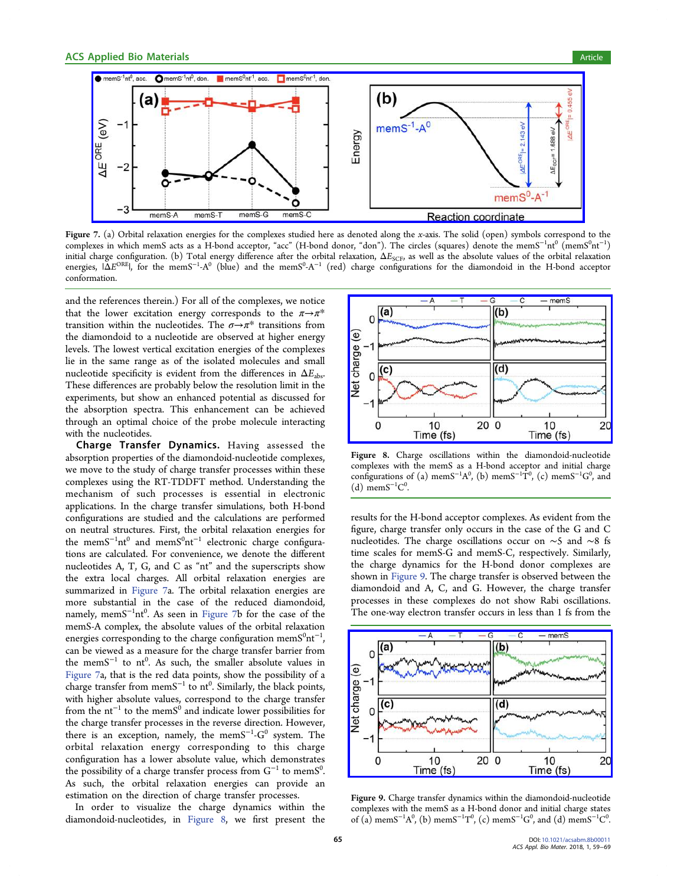<span id="page-6-0"></span>

Figure 7. (a) Orbital relaxation energies for the complexes studied here as denoted along the x-axis. The solid (open) symbols correspond to the complexes in which memS acts as a H-bond acceptor, "acc" (H-bond donor, "don"). The circles (squares) denote the memS<sup>−1</sup>nt<sup>0</sup> (memS<sup>0</sup>nt<sup>−1</sup>) initial charge configuration. (b) Total energy difference after the orbital relaxation,  $\Delta E_{\text{SCF}}$ , as well as the absolute values of the orbital relaxation energies,  $|\Delta E^{\rm ORE}|$ , for the mem $S^{-1}$ -A $^0$  (blue) and the mem $S^0$ -A $^{-1}$  (red) charge configurations for the diamondoid in the H-bond acceptor conformation.

and the references therein.) For all of the complexes, we notice that the lower excitation energy corresponds to the  $\pi \rightarrow \pi^*$ transition within the nucleotides. The  $\sigma \rightarrow \pi^*$  transitions from the diamondoid to a nucleotide are observed at higher energy levels. The lowest vertical excitation energies of the complexes lie in the same range as of the isolated molecules and small nucleotide specificity is evident from the differences in  $\Delta E_{abc}$ . These differences are probably below the resolution limit in the experiments, but show an enhanced potential as discussed for the absorption spectra. This enhancement can be achieved through an optimal choice of the probe molecule interacting with the nucleotides.

Charge Transfer Dynamics. Having assessed the absorption properties of the diamondoid-nucleotide complexes, we move to the study of charge transfer processes within these complexes using the RT-TDDFT method. Understanding the mechanism of such processes is essential in electronic applications. In the charge transfer simulations, both H-bond configurations are studied and the calculations are performed on neutral structures. First, the orbital relaxation energies for the memS<sup>-1</sup>nt<sup>0</sup> and memS<sup>0</sup>nt<sup>-1</sup> electronic charge configurations are calculated. For convenience, we denote the different nucleotides A, T, G, and C as "nt" and the superscripts show the extra local charges. All orbital relaxation energies are summarized in Figure 7a. The orbital relaxation energies are more substantial in the case of the reduced diamondoid, namely, mem $S^{-1}$ nt $^0$ . As seen in Figure 7b for the case of the memS-A complex, the absolute values of the orbital relaxation energies corresponding to the charge configuration mem $S^0$ nt<sup>-1</sup> , can be viewed as a measure for the charge transfer barrier from the mem $S^{-1}$  to nt<sup>0</sup>. As such, the smaller absolute values in Figure 7a, that is the red data points, show the possibility of a charge transfer from memS<sup>-1</sup> to nt<sup>0</sup>. Similarly, the black points, with higher absolute values, correspond to the charge transfer from the nt<sup>-1</sup> to the memS<sup>0</sup> and indicate lower possibilities for the charge transfer processes in the reverse direction. However, there is an exception, namely, the mem $S^{-1}$ - $G^0$  system. The orbital relaxation energy corresponding to this charge configuration has a lower absolute value, which demonstrates the possibility of a charge transfer process from  $G^{-1}$  to mem $S^0$ . . As such, the orbital relaxation energies can provide an estimation on the direction of charge transfer processes.

In order to visualize the charge dynamics within the diamondoid-nucleotides, in Figure 8, we first present the



Figure 8. Charge oscillations within the diamondoid-nucleotide complexes with the memS as a H-bond acceptor and initial charge configurations of (a) memS<sup>-1</sup> $A^0$ , (b) memS<sup>-1</sup> $T^0$ , (c) memS<sup>-1</sup>G<sup>0</sup>, and (d) mem $S^{-1}C^0$ .

results for the H-bond acceptor complexes. As evident from the figure, charge transfer only occurs in the case of the G and C nucleotides. The charge oscillations occur on ∼5 and ∼8 fs time scales for memS-G and memS-C, respectively. Similarly, the charge dynamics for the H-bond donor complexes are shown in Figure 9. The charge transfer is observed between the diamondoid and A, C, and G. However, the charge transfer processes in these complexes do not show Rabi oscillations. The one-way electron transfer occurs in less than 1 fs from the



Figure 9. Charge transfer dynamics within the diamondoid-nucleotide complexes with the memS as a H-bond donor and initial charge states of (a) mem $S^{-1}A^0$ , (b) mem $S^{-1}T^0$ , (c) mem $S^{-1}G^0$ , and (d) mem $S^{-1}C^0$ .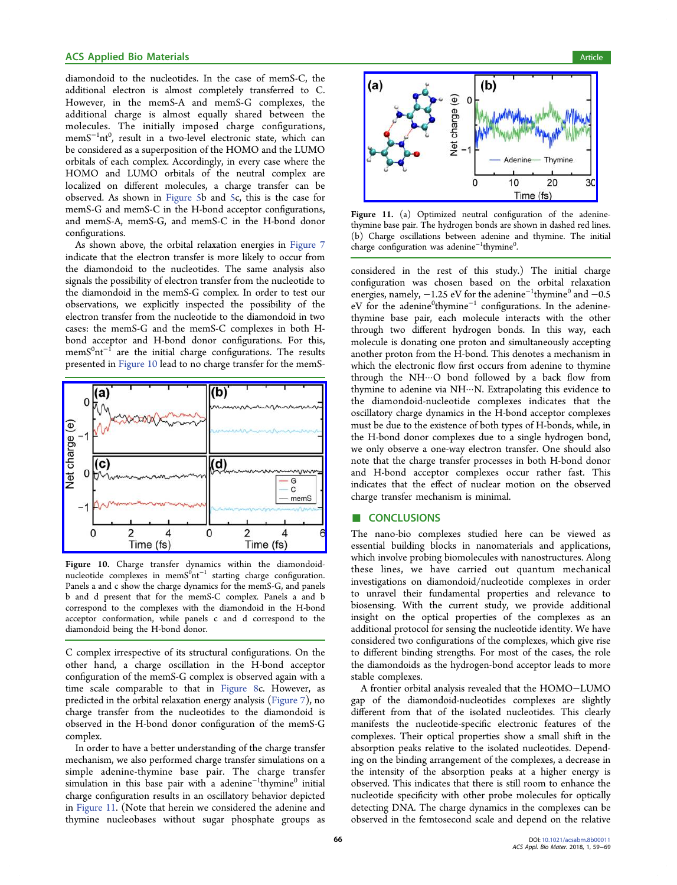#### **ACS Applied Bio Materials Article** Article **Article** Article **Article** Article **Article** Article

diamondoid to the nucleotides. In the case of memS-C, the additional electron is almost completely transferred to C. However, in the memS-A and memS-G complexes, the additional charge is almost equally shared between the molecules. The initially imposed charge configurations, memS<sup>−1</sup>nt<sup>0</sup>, result in a two-level electronic state, which can be considered as a superposition of the HOMO and the LUMO orbitals of each complex. Accordingly, in every case where the HOMO and LUMO orbitals of the neutral complex are localized on different molecules, a charge transfer can be observed. As shown in [Figure 5](#page-4-0)b and [5](#page-4-0)c, this is the case for memS-G and memS-C in the H-bond acceptor configurations, and memS-A, memS-G, and memS-C in the H-bond donor configurations.

As shown above, the orbital relaxation energies in [Figure 7](#page-6-0) indicate that the electron transfer is more likely to occur from the diamondoid to the nucleotides. The same analysis also signals the possibility of electron transfer from the nucleotide to the diamondoid in the memS-G complex. In order to test our observations, we explicitly inspected the possibility of the electron transfer from the nucleotide to the diamondoid in two cases: the memS-G and the memS-C complexes in both Hbond acceptor and H-bond donor configurations. For this,  $\mathrm{memS^0nt^{-1}}$  are the initial charge configurations. The results presented in Figure 10 lead to no charge transfer for the memS-



Figure 10. Charge transfer dynamics within the diamondoidnucleotide complexes in mem $S^0$ nt<sup>-1</sup> starting charge configuration. Panels a and c show the charge dynamics for the memS-G, and panels b and d present that for the memS-C complex. Panels a and b correspond to the complexes with the diamondoid in the H-bond acceptor conformation, while panels c and d correspond to the diamondoid being the H-bond donor.

C complex irrespective of its structural configurations. On the other hand, a charge oscillation in the H-bond acceptor configuration of the memS-G complex is observed again with a time scale comparable to that in [Figure 8c](#page-6-0). However, as predicted in the orbital relaxation energy analysis ([Figure 7](#page-6-0)), no charge transfer from the nucleotides to the diamondoid is observed in the H-bond donor configuration of the memS-G complex.

In order to have a better understanding of the charge transfer mechanism, we also performed charge transfer simulations on a simple adenine-thymine base pair. The charge transfer simulation in this base pair with a adenine<sup>-1</sup>thymine<sup>0</sup> initial charge configuration results in an oscillatory behavior depicted in Figure 11. (Note that herein we considered the adenine and thymine nucleobases without sugar phosphate groups as



Figure 11. (a) Optimized neutral configuration of the adeninethymine base pair. The hydrogen bonds are shown in dashed red lines. (b) Charge oscillations between adenine and thymine. The initial charge configuration was adenine<sup>-1</sup>thymine<sup>0</sup> .

considered in the rest of this study.) The initial charge configuration was chosen based on the orbital relaxation energies, namely, -1.25 eV for the adenine<sup>-1</sup>thymine<sup>0</sup> and -0.5 eV for the adenine<sup>0</sup>thymine<sup>-1</sup> configurations. In the adeninethymine base pair, each molecule interacts with the other through two different hydrogen bonds. In this way, each molecule is donating one proton and simultaneously accepting another proton from the H-bond. This denotes a mechanism in which the electronic flow first occurs from adenine to thymine through the NH···O bond followed by a back flow from thymine to adenine via NH···N. Extrapolating this evidence to the diamondoid-nucleotide complexes indicates that the oscillatory charge dynamics in the H-bond acceptor complexes must be due to the existence of both types of H-bonds, while, in the H-bond donor complexes due to a single hydrogen bond, we only observe a one-way electron transfer. One should also note that the charge transfer processes in both H-bond donor and H-bond acceptor complexes occur rather fast. This indicates that the effect of nuclear motion on the observed charge transfer mechanism is minimal.

#### ■ **CONCLUSIONS**

The nano-bio complexes studied here can be viewed as essential building blocks in nanomaterials and applications, which involve probing biomolecules with nanostructures. Along these lines, we have carried out quantum mechanical investigations on diamondoid/nucleotide complexes in order to unravel their fundamental properties and relevance to biosensing. With the current study, we provide additional insight on the optical properties of the complexes as an additional protocol for sensing the nucleotide identity. We have considered two configurations of the complexes, which give rise to different binding strengths. For most of the cases, the role the diamondoids as the hydrogen-bond acceptor leads to more stable complexes.

A frontier orbital analysis revealed that the HOMO−LUMO gap of the diamondoid-nucleotides complexes are slightly different from that of the isolated nucleotides. This clearly manifests the nucleotide-specific electronic features of the complexes. Their optical properties show a small shift in the absorption peaks relative to the isolated nucleotides. Depending on the binding arrangement of the complexes, a decrease in the intensity of the absorption peaks at a higher energy is observed. This indicates that there is still room to enhance the nucleotide specificity with other probe molecules for optically detecting DNA. The charge dynamics in the complexes can be observed in the femtosecond scale and depend on the relative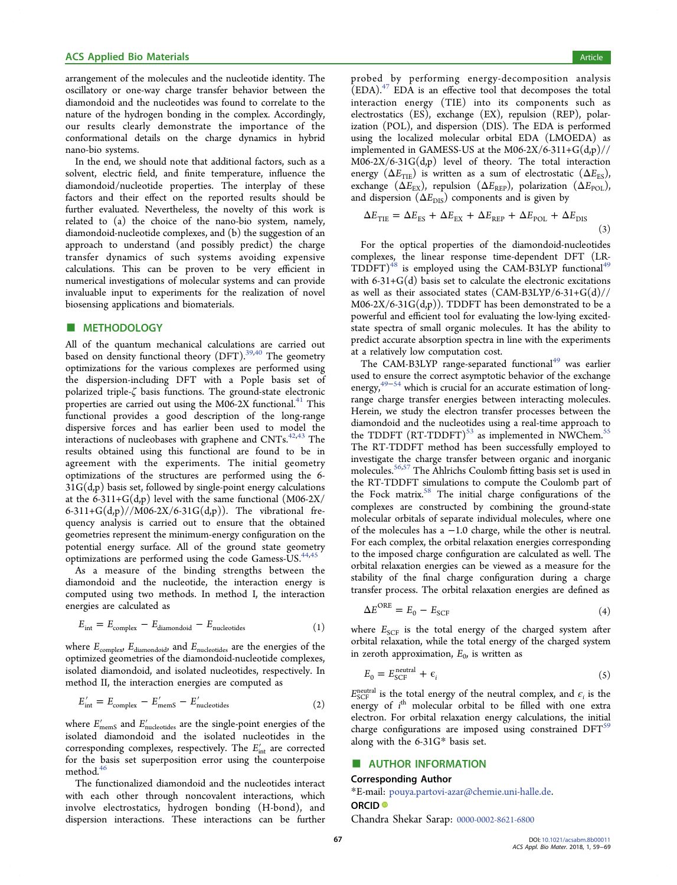<span id="page-8-0"></span>arrangement of the molecules and the nucleotide identity. The oscillatory or one-way charge transfer behavior between the diamondoid and the nucleotides was found to correlate to the nature of the hydrogen bonding in the complex. Accordingly, our results clearly demonstrate the importance of the conformational details on the charge dynamics in hybrid nano-bio systems.

In the end, we should note that additional factors, such as a solvent, electric field, and finite temperature, influence the diamondoid/nucleotide properties. The interplay of these factors and their effect on the reported results should be further evaluated. Nevertheless, the novelty of this work is related to (a) the choice of the nano-bio system, namely, diamondoid-nucleotide complexes, and (b) the suggestion of an approach to understand (and possibly predict) the charge transfer dynamics of such systems avoiding expensive calculations. This can be proven to be very efficient in numerical investigations of molecular systems and can provide invaluable input to experiments for the realization of novel biosensing applications and biomaterials.

#### **E** METHODOLOGY

All of the quantum mechanical calculations are carried out based on density functional theory  $(DFT)$ .<sup>[39,40](#page-10-0)</sup> The geometry optimizations for the various complexes are performed using the dispersion-including DFT with a Pople basis set of polarized triple-ζ basis functions. The ground-state electronic properties are carried out using the M06-2X functional.<sup>[41](#page-10-0)</sup> This functional provides a good description of the long-range dispersive forces and has earlier been used to model the interactions of nucleobases with graphene and CNTs. $42,43$  $42,43$  $42,43$  The results obtained using this functional are found to be in agreement with the experiments. The initial geometry optimizations of the structures are performed using the 6-  $31G(d,p)$  basis set, followed by single-point energy calculations at the 6-311+ $G(d,p)$  level with the same functional  $(M06-2X/$ 6-311+G(d,p)//M06-2X/6-31G(d,p)). The vibrational frequency analysis is carried out to ensure that the obtained geometries represent the minimum-energy configuration on the potential energy surface. All of the ground state geometry optimizations are performed using the code Gamess-US.<sup>[44](#page-10-0),[45](#page-10-0)</sup>

As a measure of the binding strengths between the diamondoid and the nucleotide, the interaction energy is computed using two methods. In method I, the interaction energies are calculated as

$$
E_{\text{int}} = E_{\text{complex}} - E_{\text{diamondoid}} - E_{\text{nucleotides}} \tag{1}
$$

where  $E_{\text{complex}}$ ,  $E_{\text{diamond}}$  and  $E_{\text{nucleotides}}$  are the energies of the optimized geometries of the diamondoid-nucleotide complexes, isolated diamondoid, and isolated nucleotides, respectively. In method II, the interaction energies are computed as

$$
E'_{\text{int}} = E_{\text{complex}} - E'_{\text{memS}} - E'_{\text{nucleotides}} \tag{2}
$$

where  $E'_{\text{memS}}$  and  $E'_{\text{nucleotides}}$  are the single-point energies of the isolated diamondoid and the isolated nucleotides in the corresponding complexes, respectively. The  $E'_{int}$  are corrected for the basis set superposition error using the counterpoise method.<sup>[46](#page-10-0)</sup>

The functionalized diamondoid and the nucleotides interact with each other through noncovalent interactions, which involve electrostatics, hydrogen bonding (H-bond), and dispersion interactions. These interactions can be further probed by performing energy-decomposition analysis  $\text{(EDA).}^{47}$  $\text{(EDA).}^{47}$  $\text{(EDA).}^{47}$  EDA is an effective tool that decomposes the total interaction energy (TIE) into its components such as electrostatics (ES), exchange (EX), repulsion (REP), polarization (POL), and dispersion (DIS). The EDA is performed using the localized molecular orbital EDA (LMOEDA) as implemented in GAMESS-US at the M06-2X/6-311+ $G(d,p)//$ M06-2X/6-31G(d,p) level of theory. The total interaction energy ( $\Delta E_{\text{THE}}$ ) is written as a sum of electrostatic ( $\Delta E_{\text{ES}}$ ), exchange ( $\Delta E_{\text{EX}}$ ), repulsion ( $\Delta E_{\text{REP}}$ ), polarization ( $\Delta E_{\text{POL}}$ ), and dispersion  $(\Delta E_{\text{DIS}})$  components and is given by

$$
\Delta E_{\rm TE} = \Delta E_{\rm ES} + \Delta E_{\rm EX} + \Delta E_{\rm REP} + \Delta E_{\rm POL} + \Delta E_{\rm DIS}
$$
\n(3)

For the optical properties of the diamondoid-nucleotides complexes, the linear response time-dependent DFT (LR- $TDDFT$ <sup>[48](#page-10-0)</sup> is employed using the CAM-B3LYP functional<sup>[49](#page-10-0)</sup> with 6-31+G(d) basis set to calculate the electronic excitations as well as their associated states (CAM-B3LYP/6-31+G(d)//  $M06-2X/6-31G(d,p)$ . TDDFT has been demonstrated to be a powerful and efficient tool for evaluating the low-lying excitedstate spectra of small organic molecules. It has the ability to predict accurate absorption spectra in line with the experiments at a relatively low computation cost.

The CAM-B3LYP range-separated functional $49$  was earlier used to ensure the correct asymptotic behavior of the exchange energy,<sup>[49](#page-10-0)−[54](#page-10-0)</sup> which is crucial for an accurate estimation of longrange charge transfer energies between interacting molecules. Herein, we study the electron transfer processes between the diamondoid and the nucleotides using a real-time approach to the TDDFT  $(RT-TDDFT)^{53}$  $(RT-TDDFT)^{53}$  $(RT-TDDFT)^{53}$  as implemented in NWChem.<sup>[55](#page-10-0)</sup> The RT-TDDFT method has been successfully employed to investigate the charge transfer between organic and inorganic molecules.[56,57](#page-10-0) The Ahlrichs Coulomb fitting basis set is used in the RT-TDDFT simulations to compute the Coulomb part of the Fock matrix.<sup>[58](#page-10-0)</sup> The initial charge configurations of the complexes are constructed by combining the ground-state molecular orbitals of separate individual molecules, where one of the molecules has a −1.0 charge, while the other is neutral. For each complex, the orbital relaxation energies corresponding to the imposed charge configuration are calculated as well. The orbital relaxation energies can be viewed as a measure for the stability of the final charge configuration during a charge transfer process. The orbital relaxation energies are defined as

$$
\Delta E^{\rm ORE} = E_0 - E_{\rm SCF} \tag{4}
$$

where  $E_{SCF}$  is the total energy of the charged system after orbital relaxation, while the total energy of the charged system in zeroth approximation,  $E_0$ , is written as

$$
E_0 = E_{\text{SCF}}^{\text{neutral}} + \epsilon_i \tag{5}
$$

 $E_{\text{SCF}}^{\text{neutral}}$  is the total energy of the neutral complex, and  $\epsilon_i$  is the energy of i<sup>th</sup> molecular orbital to be filled with one extra electron. For orbital relaxation energy calculations, the initial charge configurations are imposed using constrained DFT<sup>[59](#page-10-0)</sup> along with the 6-31G\* basis set.

#### ■ AUTHOR INFORMATION

#### Corresponding Author

\*E-mail: [pouya.partovi-azar@chemie.uni-halle.de.](mailto:pouya.partovi-azar@chemie.uni-halle.de) ORCID<sup>®</sup>

Chandra Shekar Sarap: [0000-0002-8621-6800](http://orcid.org/0000-0002-8621-6800)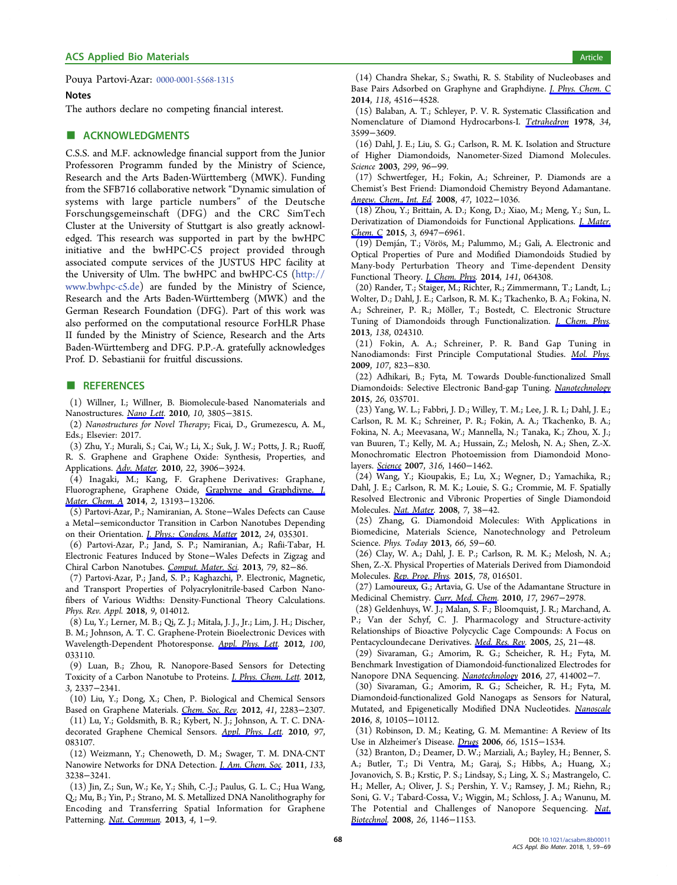<span id="page-9-0"></span>Pouya Partovi-Azar: [0000-0001-5568-1315](http://orcid.org/0000-0001-5568-1315)

#### **Notes**

The authors declare no competing financial interest.

### **■ ACKNOWLEDGMENTS**

C.S.S. and M.F. acknowledge financial support from the Junior Professoren Programm funded by the Ministry of Science, Research and the Arts Baden-Wü rttemberg (MWK). Funding from the SFB716 collaborative network "Dynamic simulation of systems with large particle numbers" of the Deutsche Forschungsgemeinschaft (DFG) and the CRC SimTech Cluster at the University of Stuttgart is also greatly acknowledged. This research was supported in part by the bwHPC initiative and the bwHPC-C5 project provided through associated compute services of the JUSTUS HPC facility at the University of Ulm. The bwHPC and bwHPC-C5 [\(http://](http://www.bwhpc-c5.de) [www.bwhpc-c5.de\)](http://www.bwhpc-c5.de) are funded by the Ministry of Science, Research and the Arts Baden-Wü rttemberg (MWK) and the German Research Foundation (DFG). Part of this work was also performed on the computational resource ForHLR Phase II funded by the Ministry of Science, Research and the Arts Baden-Wü rttemberg and DFG. P.P.-A. gratefully acknowledges Prof. D. Sebastianii for fruitful discussions.

#### ■ REFERENCES

(1) Willner, I.; Willner, B. Biomolecule-based Nanomaterials and Nanostructures. [Nano Lett.](http://pubs.acs.org/action/showLinks?system=10.1021%2Fnl102083j&coi=1%3ACAS%3A528%3ADC%252BC3cXhtFKksrjL&citationId=p_n_1_1) 2010, 10, 3805−3815.

(2) Nanostructures for Novel Therapy; Ficai, D., Grumezescu, A. M., Eds.; Elsevier: 2017.

(3) Zhu, Y.; Murali, S.; Cai, W.; Li, X.; Suk, J. W.; Potts, J. R.; Ruoff, R. S. Graphene and Graphene Oxide: Synthesis, Properties, and Applications. [Adv. Mater.](http://pubs.acs.org/action/showLinks?pmid=20706983&crossref=10.1002%2Fadma.201001068&coi=1%3ACAS%3A528%3ADC%252BC3cXhtFKksrfL&citationId=p_n_5_1) 2010, 22, 3906−3924.

(4) Inagaki, M.; Kang, F. Graphene Derivatives: Graphane, Fluorographene, Graphene Oxide, [Graphyne and Graphdiyne.](http://pubs.acs.org/action/showLinks?crossref=10.1039%2FC4TA01183J&coi=1%3ACAS%3A528%3ADC%252BC2cXhtFSqsL%252FM&citationId=p_n_8_1) J. [Mater. Chem. A](http://pubs.acs.org/action/showLinks?crossref=10.1039%2FC4TA01183J&coi=1%3ACAS%3A528%3ADC%252BC2cXhtFSqsL%252FM&citationId=p_n_8_1) 2014, 2, 13193-13206.

(5) Partovi-Azar, P.; Namiranian, A. Stone−Wales Defects can Cause a Metal−semiconductor Transition in Carbon Nanotubes Depending on their Orientation. *[J. Phys.: Condens. Matter](http://pubs.acs.org/action/showLinks?pmid=22156012&crossref=10.1088%2F0953-8984%2F24%2F3%2F035301&coi=1%3ACAS%3A528%3ADC%252BC38XisFOhtbk%253D&citationId=p_n_11_1)* 2012, 24, 035301.

(6) Partovi-Azar, P.; Jand, S. P.; Namiranian, A.; Rafii-Tabar, H. Electronic Features Induced by Stone−Wales Defects in Zigzag and Chiral Carbon Nanotubes. [Comput. Mater. Sci.](http://pubs.acs.org/action/showLinks?crossref=10.1016%2Fj.commatsci.2013.05.050&coi=1%3ACAS%3A528%3ADC%252BC3sXhsVClt7rE&citationId=p_n_12_1) 2013, 79, 82−86.

(7) Partovi-Azar, P.; Jand, S. P.; Kaghazchi, P. Electronic, Magnetic, and Transport Properties of Polyacrylonitrile-based Carbon Nanofibers of Various Widths: Density-Functional Theory Calculations. Phys. Rev. Appl. 2018, 9, 014012.

(8) Lu, Y.; Lerner, M. B.; Qi, Z. J.; Mitala, J. J., Jr.; Lim, J. H.; Discher, B. M.; Johnson, A. T. C. Graphene-Protein Bioelectronic Devices with Wavelength-Dependent Photoresponse. [Appl. Phys. Lett.](http://pubs.acs.org/action/showLinks?crossref=10.1063%2F1.3678024&coi=1%3ACAS%3A528%3ADC%252BC38XptVCqtA%253D%253D&citationId=p_n_16_1) 2012, 100, 033110.

(9) Luan, B.; Zhou, R. Nanopore-Based Sensors for Detecting Toxicity of a Carbon Nanotube to Proteins. *[J. Phys. Chem. Lett.](http://pubs.acs.org/action/showLinks?system=10.1021%2Fjz3007832&coi=1%3ACAS%3A528%3ADC%252BC38XhtFKmu7bM&citationId=p_n_17_1)* 2012, 3, 2337−2341.

(10) Liu, Y.; Dong, X.; Chen, P. Biological and Chemical Sensors Based on Graphene Materials. [Chem. Soc. Rev.](http://pubs.acs.org/action/showLinks?pmid=22143223&crossref=10.1039%2FC1CS15270J&coi=1%3ACAS%3A528%3ADC%252BC38XivFWlsLo%253D&citationId=p_n_20_1) 2012, 41, 2283−2307.

(11) Lu, Y.; Goldsmith, B. R.; Kybert, N. J.; Johnson, A. T. C. DNA-decorated Graphene Chemical Sensors. [Appl. Phys. Lett](http://pubs.acs.org/action/showLinks?crossref=10.1063%2F1.3483128&coi=1%3ACAS%3A528%3ADC%252BC3cXhtVOmt7bF&citationId=p_n_23_1). 2010, 97, 083107.

(12) Weizmann, Y.; Chenoweth, D. M.; Swager, T. M. DNA-CNT Nanowire Networks for DNA Detection. *[J. Am. Chem. Soc.](http://pubs.acs.org/action/showLinks?system=10.1021%2Fja109180d&coi=1%3ACAS%3A528%3ADC%252BC3MXitlamtrk%253D&citationId=p_n_24_1)* 2011, 133, 3238−3241.

(13) Jin, Z.; Sun, W.; Ke, Y.; Shih, C.-J.; Paulus, G. L. C.; Hua Wang, Q.; Mu, B.; Yin, P.; Strano, M. S. Metallized DNA Nanolithography for Encoding and Transferring Spatial Information for Graphene Patterning. [Nat. Commun.](http://pubs.acs.org/action/showLinks?crossref=10.1038%2Fncomms2690&citationId=p_n_27_1) 2013, 4, 1−9.

(14) Chandra Shekar, S.; Swathi, R. S. Stability of Nucleobases and Base Pairs Adsorbed on Graphyne and Graphdiyne. [J. Phys. Chem. C](http://pubs.acs.org/action/showLinks?system=10.1021%2Fjp412791v&coi=1%3ACAS%3A528%3ADC%252BC2cXhsVKkt74%253D&citationId=p_n_30_1) 2014, 118, 4516−4528.

(15) Balaban, A. T.; Schleyer, P. V. R. Systematic Classification and Nomenclature of Diamond Hydrocarbons-I. [Tetrahedron](http://pubs.acs.org/action/showLinks?crossref=10.1016%2F0040-4020%2878%2988437-3&coi=1%3ACAS%3A528%3ADyaE1MXktlyqur0%253D&citationId=p_n_33_1) 1978, 34, 3599−3609.

(16) Dahl, J. E.; Liu, S. G.; Carlson, R. M. K. Isolation and Structure of Higher Diamondoids, Nanometer-Sized Diamond Molecules. Science 2003, 299, 96−99.

(17) Schwertfeger, H.; Fokin, A.; Schreiner, P. Diamonds are a Chemist's Best Friend: Diamondoid Chemistry Beyond Adamantane. [Angew. Chem., Int. Ed.](http://pubs.acs.org/action/showLinks?pmid=18081112&crossref=10.1002%2Fanie.200701684&coi=1%3ACAS%3A528%3ADC%252BD1cXhvFWhur4%253D&citationId=p_n_39_1) 2008, 47, 1022−1036.

(18) Zhou, Y.; Brittain, A. D.; Kong, D.; Xiao, M.; Meng, Y.; Sun, L. Derivatization of Diamondoids for Functional Applications. *[J. Mater.](http://pubs.acs.org/action/showLinks?crossref=10.1039%2FC5TC01377A&coi=1%3ACAS%3A528%3ADC%252BC2MXhtVSqsbvL&citationId=p_n_42_1)* [Chem. C](http://pubs.acs.org/action/showLinks?crossref=10.1039%2FC5TC01377A&coi=1%3ACAS%3A528%3ADC%252BC2MXhtVSqsbvL&citationId=p_n_42_1) 2015, 3, 6947-6961.

(19) Demján, T.; Vörös, M.; Palummo, M.; Gali, A. Electronic and Optical Properties of Pure and Modified Diamondoids Studied by Many-body Perturbation Theory and Time-dependent Density Functional Theory. [J. Chem. Phys.](http://pubs.acs.org/action/showLinks?pmid=25134572&crossref=10.1063%2F1.4891930&citationId=p_n_45_1) 2014, 141, 064308.

(20) Rander, T.; Staiger, M.; Richter, R.; Zimmermann, T.; Landt, L.; Wolter, D.; Dahl, J. E.; Carlson, R. M. K.; Tkachenko, B. A.; Fokina, N. A.; Schreiner, P. R.; Möller, T.; Bostedt, C. Electronic Structure Tuning of Diamondoids through Functionalization. *[J. Chem. Phys.](http://pubs.acs.org/action/showLinks?pmid=23320686&crossref=10.1063%2F1.4774268&coi=1%3ACAS%3A528%3ADC%252BC3sXmvFSgsg%253D%253D&citationId=p_n_46_1)* 2013, 138, 024310.

(21) Fokin, A. A.; Schreiner, P. R. Band Gap Tuning in Nanodiamonds: First Principle Computational Studies. [Mol. Phys.](http://pubs.acs.org/action/showLinks?crossref=10.1080%2F00268970802649625&coi=1%3ACAS%3A528%3ADC%252BD1MXotlWltbY%253D&citationId=p_n_47_1) 2009, 107, 823−830.

(22) Adhikari, B.; Fyta, M. Towards Double-functionalized Small Diamondoids: Selective Electronic Band-gap Tuning. [Nanotechnology](http://pubs.acs.org/action/showLinks?pmid=25549002&crossref=10.1088%2F0957-4484%2F26%2F3%2F035701&coi=1%3ACAS%3A528%3ADC%252BC2MXjsVOls7Y%253D&citationId=p_n_50_1) 2015, 26, 035701.

(23) Yang, W. L.; Fabbri, J. D.; Willey, T. M.; Lee, J. R. I.; Dahl, J. E.; Carlson, R. M. K.; Schreiner, P. R.; Fokin, A. A.; Tkachenko, B. A.; Fokina, N. A.; Meevasana, W.; Mannella, N.; Tanaka, K.; Zhou, X. J.; van Buuren, T.; Kelly, M. A.; Hussain, Z.; Melosh, N. A.; Shen, Z.-X. Monochromatic Electron Photoemission from Diamondoid Monolayers. [Science](http://pubs.acs.org/action/showLinks?pmid=17556579&crossref=10.1126%2Fscience.1141811&coi=1%3ACAS%3A528%3ADC%252BD2sXmtFSjsbo%253D&citationId=p_n_51_1) 2007, 316, 1460−1462.

(24) Wang, Y.; Kioupakis, E.; Lu, X.; Wegner, D.; Yamachika, R.; Dahl, J. E.; Carlson, R. M. K.; Louie, S. G.; Crommie, M. F. Spatially Resolved Electronic and Vibronic Properties of Single Diamondoid Molecules. [Nat. Mater.](http://pubs.acs.org/action/showLinks?pmid=18037893&crossref=10.1038%2Fnmat2066&coi=1%3ACAS%3A528%3ADC%252BD1cXhtlehsA%253D%253D&citationId=p_n_54_1) 2008, 7, 38−42.

(25) Zhang, G. Diamondoid Molecules: With Applications in Biomedicine, Materials Science, Nanotechnology and Petroleum Science. Phys. Today 2013, 66, 59−60.

(26) Clay, W. A.; Dahl, J. E. P.; Carlson, R. M. K.; Melosh, N. A.; Shen, Z.-X. Physical Properties of Materials Derived from Diamondoid Molecules. [Rep. Prog. Phys](http://pubs.acs.org/action/showLinks?pmid=25551840&crossref=10.1088%2F0034-4885%2F78%2F1%2F016501&coi=1%3ACAS%3A528%3ADC%252BC2MXjvFKqsbk%253D&citationId=p_n_60_1). 2015, 78, 016501.

(27) Lamoureux, G.; Artavia, G. Use of the Adamantane Structure in Medicinal Chemistry. [Curr. Med. Chem.](http://pubs.acs.org/action/showLinks?pmid=20858176&crossref=10.2174%2F092986710792065027&coi=1%3ACAS%3A528%3ADC%252BC3cXhtFaisr3I&citationId=p_n_61_1) 2010, 17, 2967−2978.

(28) Geldenhuys, W. J.; Malan, S. F.; Bloomquist, J. R.; Marchand, A. P.; Van der Schyf, C. J. Pharmacology and Structure-activity Relationships of Bioactive Polycyclic Cage Compounds: A Focus on Pentacycloundecane Derivatives. [Med. Res. Rev](http://pubs.acs.org/action/showLinks?pmid=15389731&crossref=10.1002%2Fmed.20013&coi=1%3ACAS%3A528%3ADC%252BD2MXjslGluw%253D%253D&citationId=p_n_64_1). 2005, 25, 21−48.

(29) Sivaraman, G.; Amorim, R. G.; Scheicher, R. H.; Fyta, M. Benchmark Investigation of Diamondoid-functionalized Electrodes for Nanopore DNA Sequencing. [Nanotechnology](http://pubs.acs.org/action/showLinks?pmid=27607107&crossref=10.1088%2F0957-4484%2F27%2F41%2F414002&coi=1%3ACAS%3A528%3ADC%252BC28XhvFClsrbN&citationId=p_n_67_1) 2016, 27, 414002−7.

(30) Sivaraman, G.; Amorim, R. G.; Scheicher, R. H.; Fyta, M. Diamondoid-functionalized Gold Nanogaps as Sensors for Natural, Mutated, and Epigenetically Modified DNA Nucleotides. [Nanoscale](http://pubs.acs.org/action/showLinks?pmid=27121677&crossref=10.1039%2FC6NR00500D&coi=1%3ACAS%3A528%3ADC%252BC28XmvFeisL0%253D&citationId=p_n_70_1) 2016, 8, 10105−10112.

(31) Robinson, D. M.; Keating, G. M. Memantine: A Review of Its Use in Alzheimer's Disease. [Drugs](http://pubs.acs.org/action/showLinks?pmid=16906789&crossref=10.2165%2F00003495-200666110-00015&coi=1%3ACAS%3A528%3ADC%252BD28XhtVeqtL7N&citationId=p_n_73_1) 2006, 66, 1515−1534.

(32) Branton, D.; Deamer, D. W.; Marziali, A.; Bayley, H.; Benner, S. A.; Butler, T.; Di Ventra, M.; Garaj, S.; Hibbs, A.; Huang, X.; Jovanovich, S. B.; Krstic, P. S.; Lindsay, S.; Ling, X. S.; Mastrangelo, C. H.; Meller, A.; Oliver, J. S.; Pershin, Y. V.; Ramsey, J. M.; Riehn, R.; Soni, G. V.; Tabard-Cossa, V.; Wiggin, M.; Schloss, J. A.; Wanunu, M. The Potential and Challenges of Nanopore Sequencing. [Nat.](http://pubs.acs.org/action/showLinks?pmid=18846088&crossref=10.1038%2Fnbt.1495&coi=1%3ACAS%3A528%3ADC%252BD1cXht1aisrzE&citationId=p_n_76_1) [Biotechnol.](http://pubs.acs.org/action/showLinks?pmid=18846088&crossref=10.1038%2Fnbt.1495&coi=1%3ACAS%3A528%3ADC%252BD1cXht1aisrzE&citationId=p_n_76_1) 2008, 26, 1146-1153.